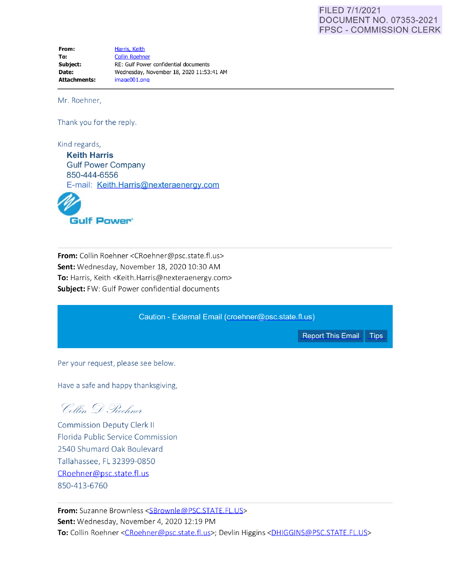## FILED 7/1/2021 DOCUMENT NO. 07353-2021 FPSC - COMMISSION CLERK

**From: To: Subject: Date: Attachments:**  [Harris. Keith](mailto:Keith.Harris@nexteraenergy.com)  [Collin Roehner](mailto:CRoehner@psc.state.fl.us) RE: Gulf Power confidential documents Wednesday, November 18, 2020 11:53:41 AM image001.png

Mr. Roehner,

Thank you for the reply.

Kind regards, **Keith Harris**  Gulf Power Company 850-444-6556 E-mail: Keith. Harris@nexteraenergy.com



**From:** Collin Roehner <CRoehner@psc.state.fl.us> **Sent:** Wednesday, November 18, 2020 10:30 AM **To:** Harris, Keith <Keith.Harris@nexteraenergy.com> **Subject:** FW: Gulf Power confidential documents

Caution - External Email ([croehner@psc.state.fl.us](mailto:croehner@psc.state.fl.us))

[Report This Email](https://shared.outlook.inky.com/report?id=ZnBsL2tlaXRoLmhhcnJpc0BuZWUuY29tLzQzMWZlZGMzNTQxM2JhOGU2NWUzNTg0YmNmOTgyNWU0LzE2MDU3MTcwMjEuNTk=#key=b7af1f985f200366a63d7780b21bfc6c) | Tips

Per your request, please see below.

Have a safe and happy thanksgiving,

Collin D. Rochner

**Commission Deputy Clerk II** Florida Public Service Commission 2540 Shumard Oak Boulevard Talla hassee, FL 32399-0850 [CRoehner@psc.state.fi. us](mailto:nholmes@psc.state.fl.us)  850-413-6760

**From:** Suzanne Brownless <SBrownle@PSC.STATE.FL.US> **Sent:** Wednesday, November 4, 2020 12:19 PM To: Collin Roehner <[CRoehner@psc.state.fl.us](mailto:CRoehner@psc.state.fl.us)>; Devlin Higgins [<DHIGGINS@PSC.STATE.FL.US](mailto:DHIGGINS@PSC.STATE.FL.US)>